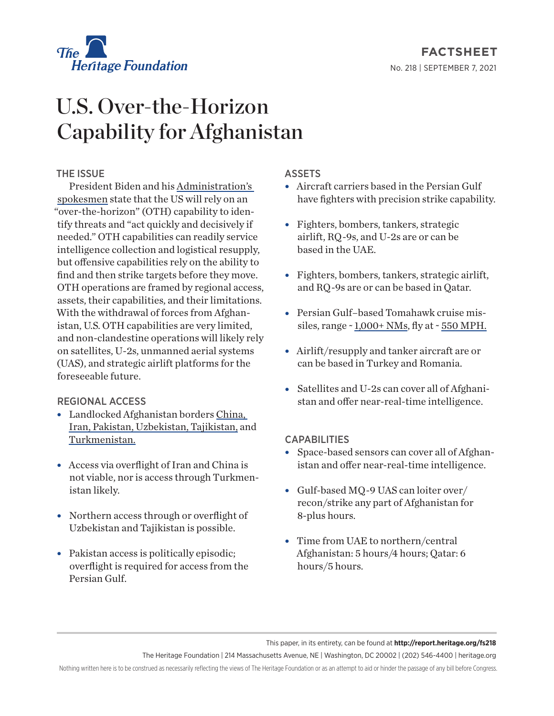

# **FACTSHEET** No. 218 | September 7, 2021

# U.S. Over-the-Horizon Capability for Afghanistan

## THE ISSUE

President Biden and his [Administration's](https://www.defense.gov/Explore/News/Article/Article/2682472/us-to-maintain-robust-over-the-horizon-capability-for-afghanistan-if-needed/)  [spokesmen](https://www.defense.gov/Explore/News/Article/Article/2682472/us-to-maintain-robust-over-the-horizon-capability-for-afghanistan-if-needed/) state that the US will rely on an "over-the-horizon" (OTH) capability to identify threats and "act quickly and decisively if needed." OTH capabilities can readily service intelligence collection and logistical resupply, but offensive capabilities rely on the ability to find and then strike targets before they move. OTH operations are framed by regional access, assets, their capabilities, and their limitations. With the withdrawal of forces from Afghanistan, U.S. OTH capabilities are very limited, and non-clandestine operations will likely rely on satellites, U-2s, unmanned aerial systems (UAS), and strategic airlift platforms for the foreseeable future.

### REGIONAL ACCESS

- Landlocked Afghanistan borders [China,](https://www.state.gov/u-s-relations-with-china/) [Iran,](https://www.state.gov/u-s-relations-with-iran/) [Pakistan](https://www.state.gov/u-s-relations-with-pakistan/), [Uzbekistan](https://www.state.gov/u-s-relations-with-uzbekistan/), [Tajikistan](https://www.state.gov/u-s-relations-with-tajikistan/), and [Turkmenistan](https://www.state.gov/u-s-relations-with-turkmenistan/).
- $\bullet$  Access via overflight of Iran and China is not viable, nor is access through Turkmenistan likely.
- Northern access through or overflight of Uzbekistan and Tajikistan is possible.
- $\bullet$  Pakistan access is politically episodic; overflight is required for access from the Persian Gulf.

### ASSETS

- Aircraft carriers based in the Persian Gulf have fighters with precision strike capability.
- Fighters, bombers, tankers, strategic airlift, RQ-9s, and U-2s are or can be based in the UAE.
- Fighters, bombers, tankers, strategic airlift, and RQ-9s are or can be based in Qatar.
- Persian Gulf–based Tomahawk cruise missiles, range ~ [1,000+ NMs,](https://www.defensenews.com/naval/2020/12/14/the-us-navy-has-an-upgraded-tomahawk-heres-5-things-you-should-know/) fly at ~ [550 MPH](https://www.britannica.com/technology/Tomahawk-cruise-missile).
- Airlift/resupply and tanker aircraft are or can be based in Turkey and Romania.
- Satellites and U-2s can cover all of Afghanistan and offer near-real-time intelligence.

#### CAPABILITIES

- Space-based sensors can cover all of Afghanistan and offer near-real-time intelligence.
- $\bullet$  Gulf-based MQ-9 UAS can loiter over/ recon/strike any part of Afghanistan for 8-plus hours.
- $\bullet$  Time from UAE to northern/central Afghanistan: 5 hours/4 hours; Qatar: 6 hours/5 hours.

This paper, in its entirety, can be found at **http://report.heritage.org/fs218**

The Heritage Foundation | 214 Massachusetts Avenue, NE | Washington, DC 20002 | (202) 546-4400 | heritage.org

Nothing written here is to be construed as necessarily reflecting the views of The Heritage Foundation or as an attempt to aid or hinder the passage of any bill before Congress.